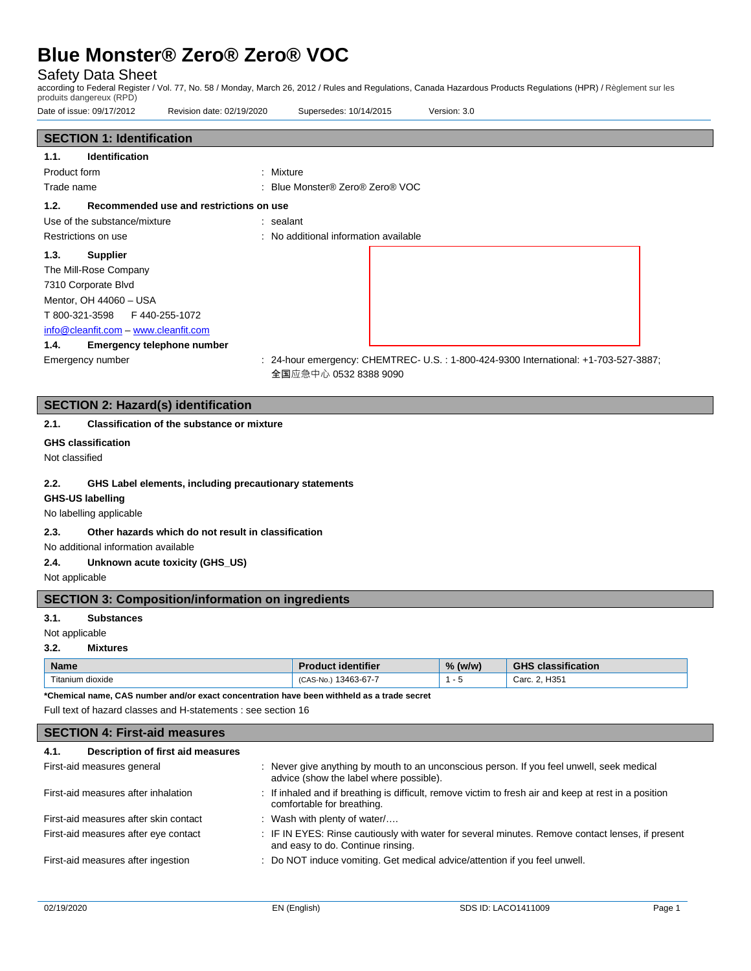### Safety Data Sheet

according to Federal Register / Vol. 77, No. 58 / Monday, March 26, 2012 / Rules and Regulations, Canada Hazardous Products Regulations (HPR) / Règlement sur les produits dangereux (RPD)

| Date of issue: 09/17/2012                                                                                                                                           | Revision date: 02/19/2020                          | Supersedes: 10/14/2015                | Version: 3.0                                                                         |  |
|---------------------------------------------------------------------------------------------------------------------------------------------------------------------|----------------------------------------------------|---------------------------------------|--------------------------------------------------------------------------------------|--|
| <b>SECTION 1: Identification</b>                                                                                                                                    |                                                    |                                       |                                                                                      |  |
| <b>Identification</b><br>1.1.                                                                                                                                       |                                                    |                                       |                                                                                      |  |
| Product form                                                                                                                                                        | : Mixture                                          |                                       |                                                                                      |  |
| Trade name                                                                                                                                                          |                                                    | : Blue Monster® Zero® Zero® VOC       |                                                                                      |  |
| 1.2.                                                                                                                                                                | Recommended use and restrictions on use            |                                       |                                                                                      |  |
| Use of the substance/mixture                                                                                                                                        | : sealant                                          |                                       |                                                                                      |  |
| Restrictions on use                                                                                                                                                 |                                                    | : No additional information available |                                                                                      |  |
| 1.3.<br><b>Supplier</b><br>The Mill-Rose Company<br>7310 Corporate Blvd<br>Mentor, OH 44060 - USA<br>T 800-321-3598<br>info@cleanfit.com - www.cleanfit.com<br>1.4. | F440-255-1072<br><b>Emergency telephone number</b> |                                       |                                                                                      |  |
| Emergency number                                                                                                                                                    |                                                    | 全国应急中心 0532 8388 9090                 | : 24-hour emergency: CHEMTREC- U.S. : 1-800-424-9300 International: +1-703-527-3887; |  |

# **SECTION 2: Hazard(s) identification**

#### **2.1. Classification of the substance or mixture**

#### **GHS classification**

Not classified

#### **2.2. GHS Label elements, including precautionary statements**

#### **GHS-US labelling**

No labelling applicable

#### **2.3. Other hazards which do not result in classification**

No additional information available

#### **2.4. Unknown acute toxicity (GHS\_US)**

Not applicable

#### **SECTION 3: Composition/information on ingredients**

#### **3.1. Substances**

Not applicable

#### **3.2. Mixtures**

| <b>Name</b>      | <b>Product identifier</b> | $%$ (w/w) | <b>GHS classification</b> |
|------------------|---------------------------|-----------|---------------------------|
| Titanium dioxide | 13463-67-7<br>(CAS-No.    |           | Carc. 2, H351             |

**\*Chemical name, CAS number and/or exact concentration have been withheld as a trade secret**

Full text of hazard classes and H-statements : see section 16

### **SECTION 4: First-aid measures 4.1. Description of first aid measures**

| First-aid measures general            | : Never give anything by mouth to an unconscious person. If you feel unwell, seek medical<br>advice (show the label where possible).  |
|---------------------------------------|---------------------------------------------------------------------------------------------------------------------------------------|
| First-aid measures after inhalation   | : If inhaled and if breathing is difficult, remove victim to fresh air and keep at rest in a position<br>comfortable for breathing.   |
| First-aid measures after skin contact | : Wash with plenty of water/                                                                                                          |
| First-aid measures after eye contact  | : IF IN EYES: Rinse cautiously with water for several minutes. Remove contact lenses, if present<br>and easy to do. Continue rinsing. |
| First-aid measures after ingestion    | : Do NOT induce vomiting. Get medical advice/attention if you feel unwell.                                                            |
|                                       |                                                                                                                                       |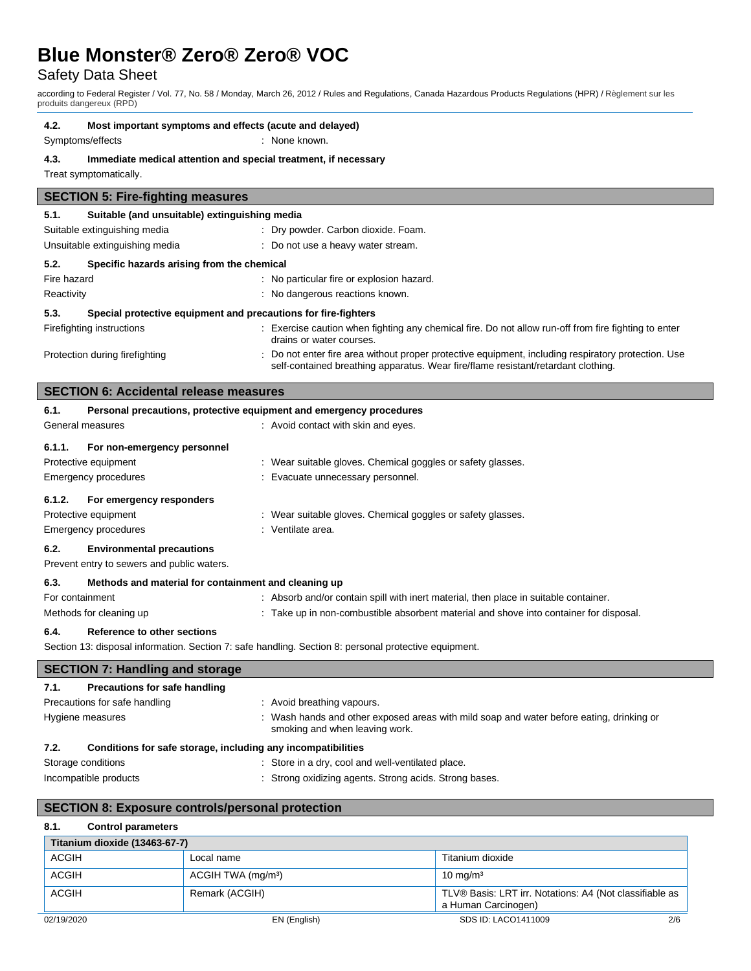# Safety Data Sheet

according to Federal Register / Vol. 77, No. 58 / Monday, March 26, 2012 / Rules and Regulations, Canada Hazardous Products Regulations (HPR) / Règlement sur les produits dangereux (RPD)

#### **4.2. Most important symptoms and effects (acute and delayed)**

Symptoms/effects : None known.

#### **4.3. Immediate medical attention and special treatment, if necessary**

Treat symptomatically.

| <b>SECTION 5: Fire-fighting measures</b>                               |                                               |                                                                                                                                                                                          |  |
|------------------------------------------------------------------------|-----------------------------------------------|------------------------------------------------------------------------------------------------------------------------------------------------------------------------------------------|--|
| 5.1.                                                                   | Suitable (and unsuitable) extinguishing media |                                                                                                                                                                                          |  |
|                                                                        | Suitable extinguishing media                  | : Dry powder. Carbon dioxide. Foam.                                                                                                                                                      |  |
|                                                                        | Unsuitable extinguishing media                | : Do not use a heavy water stream.                                                                                                                                                       |  |
| 5.2.                                                                   | Specific hazards arising from the chemical    |                                                                                                                                                                                          |  |
| Fire hazard                                                            |                                               | : No particular fire or explosion hazard.                                                                                                                                                |  |
| Reactivity                                                             |                                               | : No dangerous reactions known.                                                                                                                                                          |  |
| Special protective equipment and precautions for fire-fighters<br>5.3. |                                               |                                                                                                                                                                                          |  |
|                                                                        | Firefighting instructions                     | : Exercise caution when fighting any chemical fire. Do not allow run-off from fire fighting to enter<br>drains or water courses.                                                         |  |
| Protection during firefighting                                         |                                               | : Do not enter fire area without proper protective equipment, including respiratory protection. Use<br>self-contained breathing apparatus. Wear fire/flame resistant/retardant clothing. |  |

|        | <b>SECTION 6: Accidental release measures</b>                       |                                                             |  |
|--------|---------------------------------------------------------------------|-------------------------------------------------------------|--|
| 6.1.   | Personal precautions, protective equipment and emergency procedures |                                                             |  |
|        | General measures                                                    | : Avoid contact with skin and eyes.                         |  |
| 6.1.1. | For non-emergency personnel                                         |                                                             |  |
|        | Protective equipment                                                | : Wear suitable gloves. Chemical goggles or safety glasses. |  |
|        | Emergency procedures                                                | : Evacuate unnecessary personnel.                           |  |
| 6.1.2. | For emergency responders                                            |                                                             |  |
|        | Protective equipment                                                | : Wear suitable gloves. Chemical goggles or safety glasses. |  |
|        | <b>Emergency procedures</b>                                         | : Ventilate area.                                           |  |
| 6.2.   | <b>Environmental precautions</b>                                    |                                                             |  |
|        | Prevent entry to sewers and public waters.                          |                                                             |  |

#### **6.3. Methods and material for containment and cleaning up**

| 6.4.            | Reference to other sections |                                                                                      |
|-----------------|-----------------------------|--------------------------------------------------------------------------------------|
|                 | Methods for cleaning up     | Take up in non-combustible absorbent material and shove into container for disposal. |
| For containment |                             | : Absorb and/or contain spill with inert material, then place in suitable container. |

Section 13: disposal information. Section 7: safe handling. Section 8: personal protective equipment.

## **SECTION 7: Handling and storage 7.1. Precautions for safe handling** Precautions for safe handling : Avoid breathing vapours. Hygiene measures **interpret and thands** and other exposed areas with mild soap and water before eating, drinking or smoking and when leaving work.

#### **7.2. Conditions for safe storage, including any incompatibilities**

- 
- Storage conditions : Store in a dry, cool and well-ventilated place.
- Incompatible products **incompatible products** : Strong oxidizing agents. Strong acids. Strong bases.

### **SECTION 8: Exposure controls/personal protection**

#### **8.1. Control parameters**

| Titanium dioxide (13463-67-7) |                                |                                                                                |
|-------------------------------|--------------------------------|--------------------------------------------------------------------------------|
| ACGIH                         | Local name                     | Titanium dioxide                                                               |
| <b>ACGIH</b>                  | ACGIH TWA (mg/m <sup>3</sup> ) | $10 \text{ mg/m}^3$                                                            |
| <b>ACGIH</b>                  | Remark (ACGIH)                 | TLV® Basis: LRT irr. Notations: A4 (Not classifiable as<br>a Human Carcinogen) |
| 02/19/2020                    | EN (English)                   | 2/6<br>SDS ID: LACO1411009                                                     |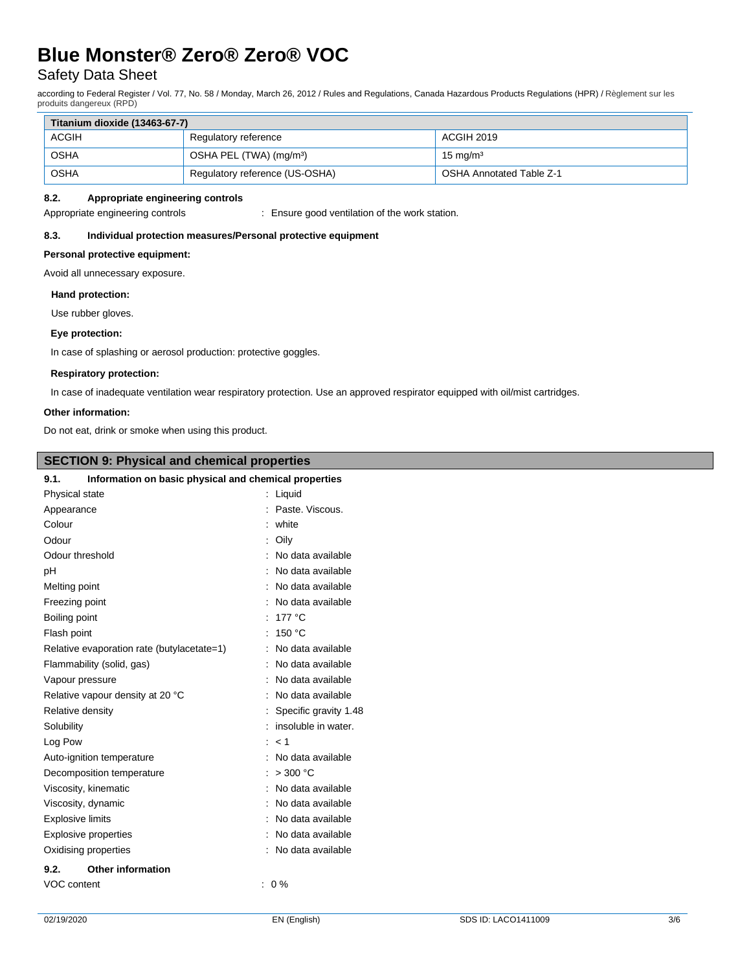# Safety Data Sheet

according to Federal Register / Vol. 77, No. 58 / Monday, March 26, 2012 / Rules and Regulations, Canada Hazardous Products Regulations (HPR) / Règlement sur les produits dangereux (RPD)

| Titanium dioxide (13463-67-7) |                                     |                                 |  |  |
|-------------------------------|-------------------------------------|---------------------------------|--|--|
| <b>ACGIH</b>                  | Regulatory reference                | ACGIH 2019                      |  |  |
| <b>OSHA</b>                   | OSHA PEL (TWA) (mg/m <sup>3</sup> ) | $15 \text{ ma/m}^3$             |  |  |
| OSHA                          | Regulatory reference (US-OSHA)      | <b>OSHA Annotated Table Z-1</b> |  |  |

#### **8.2. Appropriate engineering controls**

Appropriate engineering controls : Ensure good ventilation of the work station.

#### **8.3. Individual protection measures/Personal protective equipment**

#### **Personal protective equipment:**

Avoid all unnecessary exposure.

#### **Hand protection:**

Use rubber gloves.

#### **Eye protection:**

In case of splashing or aerosol production: protective goggles.

#### **Respiratory protection:**

In case of inadequate ventilation wear respiratory protection. Use an approved respirator equipped with oil/mist cartridges.

#### **Other information:**

I

Do not eat, drink or smoke when using this product.

| <b>SECTION 9: Physical and chemical properties</b>            |                         |  |
|---------------------------------------------------------------|-------------------------|--|
| Information on basic physical and chemical properties<br>9.1. |                         |  |
| Physical state                                                | : Liquid                |  |
| Appearance                                                    | : Paste. Viscous.       |  |
| Colour                                                        | : white                 |  |
| Odour                                                         | : Oily                  |  |
| Odour threshold                                               | : No data available     |  |
| pH                                                            | : No data available     |  |
| Melting point                                                 | No data available       |  |
| Freezing point                                                | : No data available     |  |
| Boiling point                                                 | : 177 $^{\circ}$ C      |  |
| Flash point                                                   | : $150 °C$              |  |
| Relative evaporation rate (butylacetate=1)                    | : No data available     |  |
| Flammability (solid, gas)                                     | : No data available     |  |
| Vapour pressure                                               | : No data available     |  |
| Relative vapour density at 20 °C                              | : No data available     |  |
| Relative density                                              | : Specific gravity 1.48 |  |
| Solubility                                                    | : insoluble in water.   |  |
| Log Pow                                                       | : < 1                   |  |
| Auto-ignition temperature                                     | : No data available     |  |
| Decomposition temperature                                     | : $>300$ °C             |  |
| Viscosity, kinematic                                          | : No data available     |  |
| Viscosity, dynamic                                            | No data available       |  |
| <b>Explosive limits</b>                                       | No data available       |  |
| <b>Explosive properties</b>                                   | : No data available     |  |
| Oxidising properties                                          | : No data available     |  |
| <b>Other information</b><br>9.2.                              |                         |  |
| VOC content                                                   | $: 0 \%$                |  |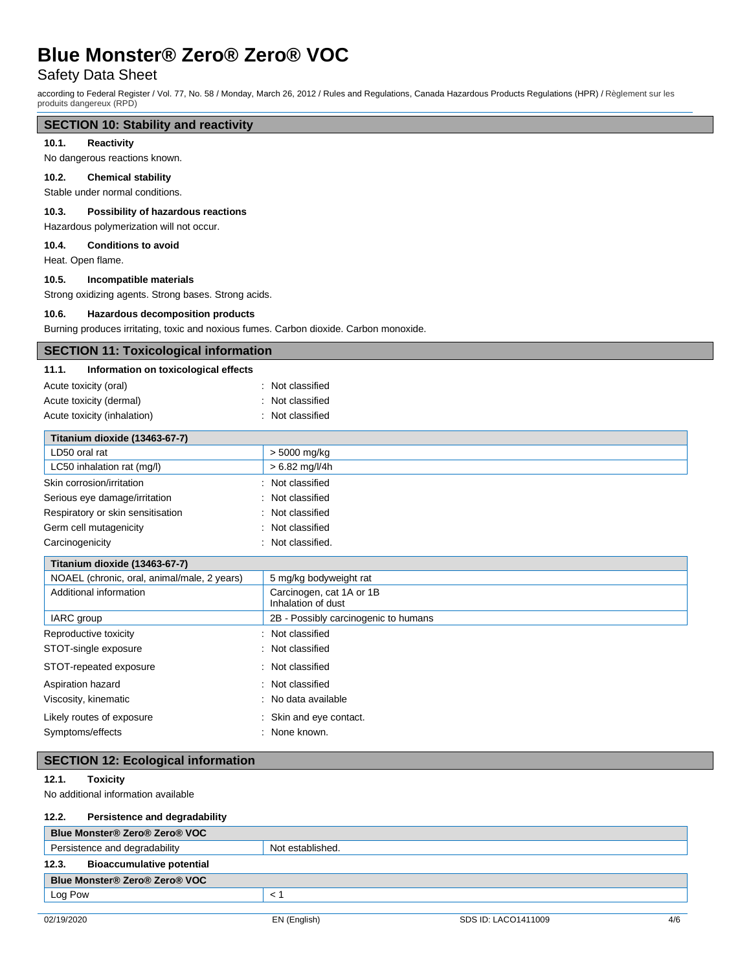# Safety Data Sheet

according to Federal Register / Vol. 77, No. 58 / Monday, March 26, 2012 / Rules and Regulations, Canada Hazardous Products Regulations (HPR) / Règlement sur les produits dangereux (RPD)

### **SECTION 10: Stability and reactivity**

#### **10.1. Reactivity**

#### No dangerous reactions known.

#### **10.2. Chemical stability**

Stable under normal conditions.

#### **10.3. Possibility of hazardous reactions**

Hazardous polymerization will not occur.

#### **10.4. Conditions to avoid**

Heat. Open flame.

#### **10.5. Incompatible materials**

Strong oxidizing agents. Strong bases. Strong acids.

#### **10.6. Hazardous decomposition products**

Burning produces irritating, toxic and noxious fumes. Carbon dioxide. Carbon monoxide.

#### **SECTION 11: Toxicological information**

#### **11.1. Information on toxicological effects**

| Acute toxicity (oral)       | : Not classified |
|-----------------------------|------------------|
| Acute toxicity (dermal)     | : Not classified |
| Acute toxicity (inhalation) | : Not classified |

| Titanium dioxide (13463-67-7)     |                   |
|-----------------------------------|-------------------|
| LD50 oral rat                     | > 5000 mg/kg      |
| LC50 inhalation rat (mg/l)        | $> 6.82$ mg/l/4h  |
| Skin corrosion/irritation         | : Not classified  |
| Serious eye damage/irritation     | : Not classified  |
| Respiratory or skin sensitisation | : Not classified  |
| Germ cell mutagenicity            | : Not classified  |
| Carcinogenicity                   | : Not classified. |

### **Titanium dioxide (13463-67-7)** NOAEL (chronic, oral, animal/male, 2 years) 5 mg/kg bodyweight rat Additional information and Carcinogen, cat 1A or 1B Inhalation of dust IARC group 2B - Possibly carcinogenic to humans Reproductive toxicity **in the contract of the CRS** in Not classified STOT-single exposure in the state of the state of the STOT-single exposure STOT-repeated exposure : Not classified

| Aspiration hazard         | : Not classified        |
|---------------------------|-------------------------|
| Viscosity, kinematic      | : No data available     |
| Likely routes of exposure | : Skin and eye contact. |
| Symptoms/effects          | : None known.           |

#### **SECTION 12: Ecological information**

#### **12.1. Toxicity**

No additional information available

#### **12.2. Persistence and degradability**

| Blue Monster® Zero® Zero® VOC                     |  |  |  |  |  |
|---------------------------------------------------|--|--|--|--|--|
| Persistence and degradability<br>Not established. |  |  |  |  |  |
| 12.3.<br><b>Bioaccumulative potential</b>         |  |  |  |  |  |
| Blue Monster® Zero® Zero® VOC                     |  |  |  |  |  |
| Log Pow                                           |  |  |  |  |  |
|                                                   |  |  |  |  |  |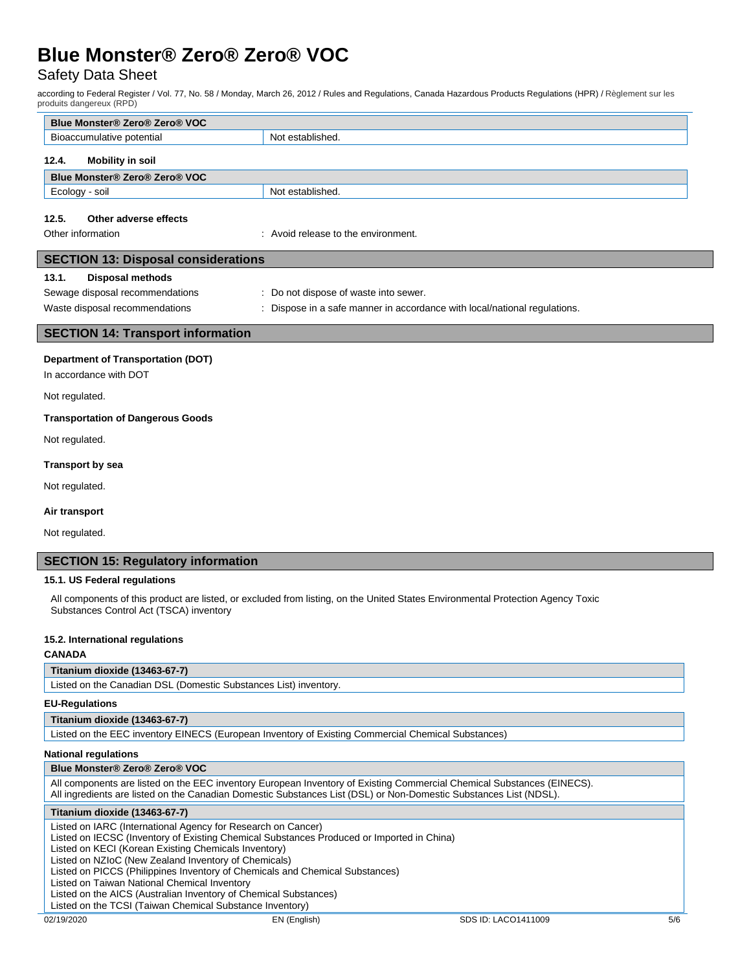# Safety Data Sheet

according to Federal Register / Vol. 77, No. 58 / Monday, March 26, 2012 / Rules and Regulations, Canada Hazardous Products Regulations (HPR) / Règlement sur les produits dangereux (RPD)

| Blue Monster® Zero® Zero® VOC |                  |  |  |  |  |
|-------------------------------|------------------|--|--|--|--|
| Bioaccumulative potential     | Not established. |  |  |  |  |
| 12.4.<br>Mobility in soil     |                  |  |  |  |  |
| Blue Monster® Zero® Zero® VOC |                  |  |  |  |  |
| Ecology - soil                | Not established. |  |  |  |  |
|                               |                  |  |  |  |  |

#### **12.5. Other adverse effects**

Other information **in the environment.** The environment of the environment.

| <b>SECTION 13: Disposal considerations</b> |                                                                           |  |  |  |  |
|--------------------------------------------|---------------------------------------------------------------------------|--|--|--|--|
| Disposal methods<br>13.1.                  |                                                                           |  |  |  |  |
| Sewage disposal recommendations            | : Do not dispose of waste into sewer.                                     |  |  |  |  |
| Waste disposal recommendations             | : Dispose in a safe manner in accordance with local/national regulations. |  |  |  |  |
|                                            |                                                                           |  |  |  |  |
| <b>SECTION 14: Transport information</b>   |                                                                           |  |  |  |  |

**Department of Transportation (DOT)**

In accordance with DOT

Not regulated.

#### **Transportation of Dangerous Goods**

Not regulated.

#### **Transport by sea**

Not regulated.

#### **Air transport**

Not regulated.

#### **SECTION 15: Regulatory information**

#### **15.1. US Federal regulations**

All components of this product are listed, or excluded from listing, on the United States Environmental Protection Agency Toxic Substances Control Act (TSCA) inventory

#### **15.2. International regulations**

#### **CANADA**

#### **Titanium dioxide (13463-67-7)**

Listed on the Canadian DSL (Domestic Substances List) inventory.

#### **EU-Regulations**

#### **Titanium dioxide (13463-67-7)**

Listed on the EEC inventory EINECS (European Inventory of Existing Commercial Chemical Substances)

#### **National regulations**

| <b>Blue Monster® Zero® Zero® VOC</b> |  |  |  |  |  |
|--------------------------------------|--|--|--|--|--|
|                                      |  |  |  |  |  |

| All components are listed on the EEC inventory European Inventory of Existing Commercial Chemical Substances (EINECS). |
|------------------------------------------------------------------------------------------------------------------------|
| All ingredients are listed on the Canadian Domestic Substances List (DSL) or Non-Domestic Substances List (NDSL).      |

#### **Titanium dioxide (13463-67-7)**

Listed on IARC (International Agency for Research on Cancer)

Listed on IECSC (Inventory of Existing Chemical Substances Produced or Imported in China)

Listed on KECI (Korean Existing Chemicals Inventory)

Listed on NZIoC (New Zealand Inventory of Chemicals)

Listed on PICCS (Philippines Inventory of Chemicals and Chemical Substances)

Listed on Taiwan National Chemical Inventory

Listed on the AICS (Australian Inventory of Chemical Substances)

Listed on the TCSI (Taiwan Chemical Substance Inventory)